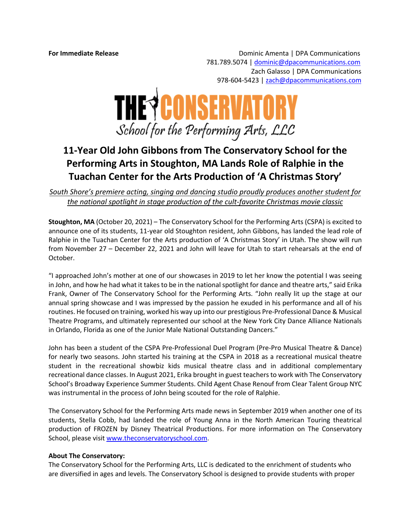**For Immediate Release** Dominic Amenta | DPA Communications 781.789.5074 | dominic@dpacommunications.com Zach Galasso | DPA Communications 978-604-5423 | zach@dpacommunications.com



## **11-Year Old John Gibbons from The Conservatory School for the Performing Arts in Stoughton, MA Lands Role of Ralphie in the Tuachan Center for the Arts Production of 'A Christmas Story'**

*South Shore's premiere acting, singing and dancing studio proudly produces another student for the national spotlight in stage production of the cult-favorite Christmas movie classic*

**Stoughton, MA** (October 20, 2021) – The Conservatory School for the Performing Arts (CSPA) is excited to announce one of its students, 11-year old Stoughton resident, John Gibbons, has landed the lead role of Ralphie in the Tuachan Center for the Arts production of 'A Christmas Story' in Utah. The show will run from November 27 – December 22, 2021 and John will leave for Utah to start rehearsals at the end of October.

"I approached John's mother at one of our showcases in 2019 to let her know the potential I was seeing in John, and how he had what it takes to be in the national spotlight for dance and theatre arts," said Erika Frank, Owner of The Conservatory School for the Performing Arts. "John really lit up the stage at our annual spring showcase and I was impressed by the passion he exuded in his performance and all of his routines. He focused on training, worked his way up into our prestigious Pre-Professional Dance & Musical Theatre Programs, and ultimately represented our school at the New York City Dance Alliance Nationals in Orlando, Florida as one of the Junior Male National Outstanding Dancers."

John has been a student of the CSPA Pre-Professional Duel Program (Pre-Pro Musical Theatre & Dance) for nearly two seasons. John started his training at the CSPA in 2018 as a recreational musical theatre student in the recreational showbiz kids musical theatre class and in additional complementary recreational dance classes. In August 2021, Erika brought in guest teachers to work with The Conservatory School's Broadway Experience Summer Students. Child Agent Chase Renouf from Clear Talent Group NYC was instrumental in the process of John being scouted for the role of Ralphie.

The Conservatory School for the Performing Arts made news in September 2019 when another one of its students, Stella Cobb, had landed the role of Young Anna in the North American Touring theatrical production of FROZEN by Disney Theatrical Productions. For more information on The Conservatory School, please visit www.theconservatoryschool.com.

## **About The Conservatory:**

The Conservatory School for the Performing Arts, LLC is dedicated to the enrichment of students who are diversified in ages and levels. The Conservatory School is designed to provide students with proper